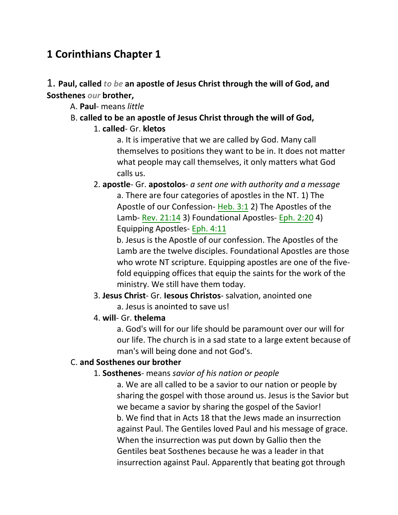# **1 Corinthians Chapter 1**

# 1. **Paul, called** *to be* **an apostle of Jesus Christ through the will of God, and Sosthenes** *our* **brother,**

A. **Paul**- means *little*

### B. **called to be an apostle of Jesus Christ through the will of God,**

### 1. **called**- Gr. **kletos**

a. It is imperative that we are called by God. Many call themselves to positions they want to be in. It does not matter what people may call themselves, it only matters what God calls us.

## 2. **apostle**- Gr. **apostolos**- *a sent one with authority and a message* a. There are four categories of apostles in the NT. 1) The Apostle of our Confession- Heb. 3:1 2) The Apostles of the Lamb- Rev. 21:14 3) Foundational Apostles- Eph. 2:20 4) Equipping Apostles- Eph. 4:11

b. Jesus is the Apostle of our confession. The Apostles of the Lamb are the twelve disciples. Foundational Apostles are those who wrote NT scripture. Equipping apostles are one of the fivefold equipping offices that equip the saints for the work of the ministry. We still have them today.

3. **Jesus Christ**- Gr. **Iesous Christos**- salvation, anointed one a. Jesus is anointed to save us!

## 4. **will**- Gr. **thelema**

a. God's will for our life should be paramount over our will for our life. The church is in a sad state to a large extent because of man's will being done and not God's.

### C. **and Sosthenes our brother**

## 1. **Sosthenes**- means *savior of his nation or people*

a. We are all called to be a savior to our nation or people by sharing the gospel with those around us. Jesus is the Savior but we became a savior by sharing the gospel of the Savior! b. We find that in Acts 18 that the Jews made an insurrection against Paul. The Gentiles loved Paul and his message of grace. When the insurrection was put down by Gallio then the Gentiles beat Sosthenes because he was a leader in that insurrection against Paul. Apparently that beating got through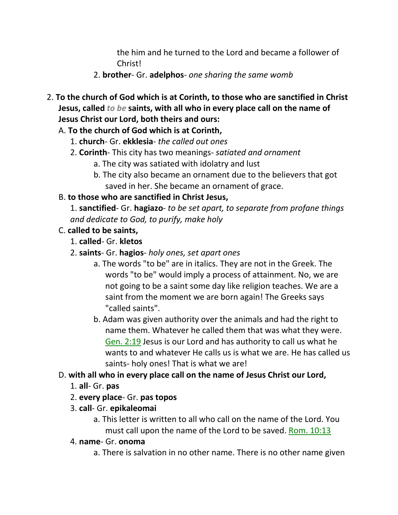the him and he turned to the Lord and became a follower of Christ!

- 2. **brother** Gr. **adelphos** *one sharing the same womb*
- 2. **To the church of God which is at Corinth, to those who are sanctified in Christ Jesus, called** *to be* **saints, with all who in every place call on the name of Jesus Christ our Lord, both theirs and ours:**
	- A. **To the church of God which is at Corinth,**
		- 1. **church** Gr. **ekklesia** *the called out ones*
		- 2. **Corinth** This city has two meanings- *satiated and ornament*
			- a. The city was satiated with idolatry and lust
			- b. The city also became an ornament due to the believers that got saved in her. She became an ornament of grace.

## B. **to those who are sanctified in Christ Jesus,**

1. **sanctified**- Gr. **hagiazo**- *to be set apart, to separate from profane things and dedicate to God, to purify, make holy*

# C. **called to be saints,**

- 1. **called** Gr. **kletos**
- 2. **saints** Gr. **hagios** *holy ones, set apart ones*
	- a. The words "to be" are in italics. They are not in the Greek. The words "to be" would imply a process of attainment. No, we are not going to be a saint some day like religion teaches. We are a saint from the moment we are born again! The Greeks says "called saints".
	- b. Adam was given authority over the animals and had the right to name them. Whatever he called them that was what they were. Gen. 2:19 Jesus is our Lord and has authority to call us what he wants to and whatever He calls us is what we are. He has called us saints- holy ones! That is what we are!

# D. **with all who in every place call on the name of Jesus Christ our Lord,**

- 1. **all** Gr. **pas**
- 2. **every place** Gr. **pas topos**
- 3. **call** Gr. **epikaleomai**
	- a. This letter is written to all who call on the name of the Lord. You must call upon the name of the Lord to be saved. Rom. 10:13
- 4. **name** Gr. **onoma**
	- a. There is salvation in no other name. There is no other name given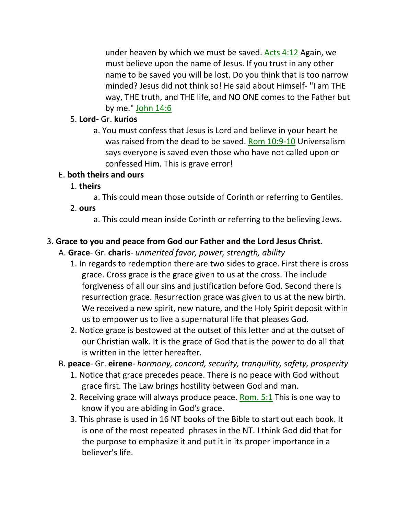under heaven by which we must be saved. Acts 4:12 Again, we must believe upon the name of Jesus. If you trust in any other name to be saved you will be lost. Do you think that is too narrow minded? Jesus did not think so! He said about Himself- "I am THE way, THE truth, and THE life, and NO ONE comes to the Father but by me." John 14:6

### 5. **Lord-** Gr. **kurios**

a. You must confess that Jesus is Lord and believe in your heart he was raised from the dead to be saved. Rom 10:9-10 Universalism says everyone is saved even those who have not called upon or confessed Him. This is grave error!

## E. **both theirs and ours**

## 1. **theirs**

- a. This could mean those outside of Corinth or referring to Gentiles.
- 2. **ours**
	- a. This could mean inside Corinth or referring to the believing Jews.

# 3. **Grace to you and peace from God our Father and the Lord Jesus Christ.**

## A. **Grace**- Gr. **charis**- *unmerited favor, power, strength, ability*

- 1. In regards to redemption there are two sides to grace. First there is cross grace. Cross grace is the grace given to us at the cross. The include forgiveness of all our sins and justification before God. Second there is resurrection grace. Resurrection grace was given to us at the new birth. We received a new spirit, new nature, and the Holy Spirit deposit within us to empower us to live a supernatural life that pleases God.
- 2. Notice grace is bestowed at the outset of this letter and at the outset of our Christian walk. It is the grace of God that is the power to do all that is written in the letter hereafter.

## B. **peace**- Gr. **eirene**- *harmony, concord, security, tranquility, safety, prosperity*

- 1. Notice that grace precedes peace. There is no peace with God without grace first. The Law brings hostility between God and man.
- 2. Receiving grace will always produce peace. Rom. 5:1 This is one way to know if you are abiding in God's grace.
- 3. This phrase is used in 16 NT books of the Bible to start out each book. It is one of the most repeated phrases in the NT. I think God did that for the purpose to emphasize it and put it in its proper importance in a believer's life.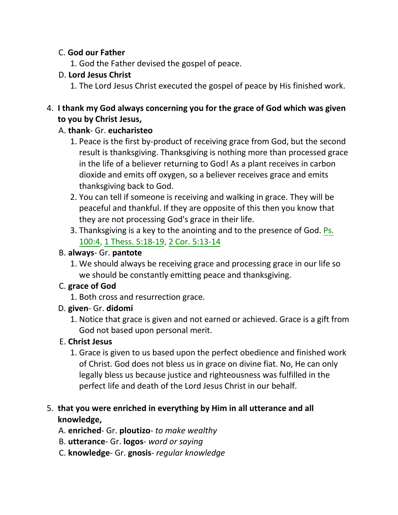## C. **God our Father**

1. God the Father devised the gospel of peace.

# D. **Lord Jesus Christ**

1. The Lord Jesus Christ executed the gospel of peace by His finished work.

# 4. **I thank my God always concerning you for the grace of God which was given to you by Christ Jesus,**

# A. **thank**- Gr. **eucharisteo**

- 1. Peace is the first by-product of receiving grace from God, but the second result is thanksgiving. Thanksgiving is nothing more than processed grace in the life of a believer returning to God! As a plant receives in carbon dioxide and emits off oxygen, so a believer receives grace and emits thanksgiving back to God.
- 2. You can tell if someone is receiving and walking in grace. They will be peaceful and thankful. If they are opposite of this then you know that they are not processing God's grace in their life.
- 3. Thanksgiving is a key to the anointing and to the presence of God. Ps. 100:4, 1 Thess. 5:18-19, 2 Cor. 5:13-14

# B. **always**- Gr. **pantote**

1. We should always be receiving grace and processing grace in our life so we should be constantly emitting peace and thanksgiving.

# C. **grace of God**

1. Both cross and resurrection grace.

# D. **given**- Gr. **didomi**

1. Notice that grace is given and not earned or achieved. Grace is a gift from God not based upon personal merit.

# E. **Christ Jesus**

1. Grace is given to us based upon the perfect obedience and finished work of Christ. God does not bless us in grace on divine fiat. No, He can only legally bless us because justice and righteousness was fulfilled in the perfect life and death of the Lord Jesus Christ in our behalf.

# 5. **that you were enriched in everything by Him in all utterance and all knowledge,**

- A. **enriched** Gr. **ploutizo** *to make wealthy*
- B. **utterance** Gr. **logos** *word or saying*
- C. **knowledge** Gr. **gnosis** *regular knowledge*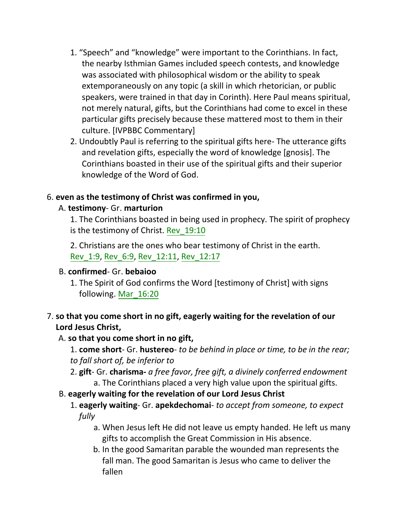- 1. "Speech" and "knowledge" were important to the Corinthians. In fact, the nearby Isthmian Games included speech contests, and knowledge was associated with philosophical wisdom or the ability to speak extemporaneously on any topic (a skill in which rhetorician, or public speakers, were trained in that day in Corinth). Here Paul means spiritual, not merely natural, gifts, but the Corinthians had come to excel in these particular gifts precisely because these mattered most to them in their culture. [IVPBBC Commentary]
- 2. Undoubtly Paul is referring to the spiritual gifts here- The utterance gifts and revelation gifts, especially the word of knowledge [gnosis]. The Corinthians boasted in their use of the spiritual gifts and their superior knowledge of the Word of God.

## 6. **even as the testimony of Christ was confirmed in you,**

# A. **testimony**- Gr. **marturion**

1. The Corinthians boasted in being used in prophecy. The spirit of prophecy is the testimony of Christ. Rev\_19:10

2. Christians are the ones who bear testimony of Christ in the earth. Rev\_1:9, Rev\_6:9, Rev\_12:11, Rev\_12:17

# B. **confirmed**- Gr. **bebaioo**

1. The Spirit of God confirms the Word [testimony of Christ] with signs following. Mar\_16:20

# 7. **so that you come short in no gift, eagerly waiting for the revelation of our Lord Jesus Christ,**

# A. **so that you come short in no gift,**

- 1. **come short** Gr. **hustereo** *to be behind in place or time, to be in the rear; to fall short of, be inferior to*
- 2. **gift** Gr. **charisma-** *a free favor, free gift, a divinely conferred endowment* a. The Corinthians placed a very high value upon the spiritual gifts.
- B. **eagerly waiting for the revelation of our Lord Jesus Christ**
	- 1. **eagerly waiting** Gr. **apekdechomai** *to accept from someone, to expect fully*
		- a. When Jesus left He did not leave us empty handed. He left us many gifts to accomplish the Great Commission in His absence.
		- b. In the good Samaritan parable the wounded man represents the fall man. The good Samaritan is Jesus who came to deliver the fallen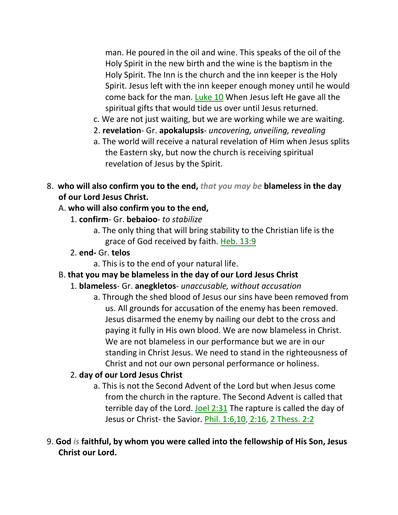man. He poured in the oil and wine. This speaks of the oil of the Holy Spirit in the new birth and the wine is the baptism in the Holy Spirit. The Inn is the church and the inn keeper is the Holy Spirit. Jesus left with the inn keeper enough money until he would come back for the man. Luke 10 When Jesus left He gave all the spiritual gifts that would tide us over until Jesus returned.

- c. We are not just waiting, but we are working while we are waiting.
- 2. **revelation** Gr. **apokalupsis** *uncovering, unveiling, revealing*
- a. The world will receive a natural revelation of Him when Jesus splits the Eastern sky, but now the church is receiving spiritual revelation of Jesus by the Spirit.
- 8. **who will also confirm you to the end,** *that you may be* **blameless in the day of our Lord Jesus Christ.**
	- A. **who will also confirm you to the end,**
		- 1. **confirm** Gr. **bebaioo** *to stabilize*
			- a. The only thing that will bring stability to the Christian life is the grace of God received by faith. Heb. 13:9
		- 2. **end-** Gr. **telos**
			- a. This is to the end of your natural life.
	- B. **that you may be blameless in the day of our Lord Jesus Christ**
		- 1. **blameless** Gr. **anegkletos** *unaccusable, without accusation*
			- a. Through the shed blood of Jesus our sins have been removed from us. All grounds for accusation of the enemy has been removed. Jesus disarmed the enemy by nailing our debt to the cross and paying it fully in His own blood. We are now blameless in Christ. We are not blameless in our performance but we are in our standing in Christ Jesus. We need to stand in the righteousness of Christ and not our own personal performance or holiness.

# 2. **day of our Lord Jesus Christ**

- a. This is not the Second Advent of the Lord but when Jesus come from the church in the rapture. The Second Advent is called that terrible day of the Lord. Joel 2:31 The rapture is called the day of Jesus or Christ- the Savior. Phil. 1:6,10, 2:16, 2 Thess. 2:2
- 9. **God** *is* **faithful, by whom you were called into the fellowship of His Son, Jesus Christ our Lord.**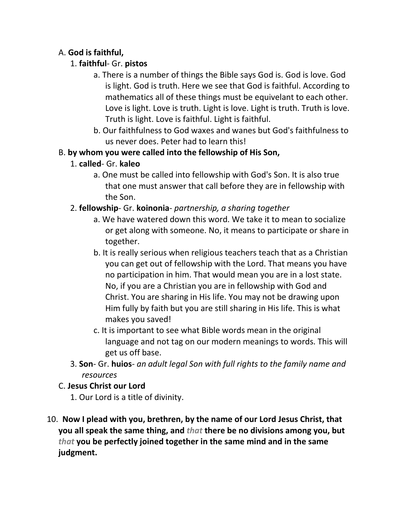## A. **God is faithful,**

## 1. **faithful**- Gr. **pistos**

- a. There is a number of things the Bible says God is. God is love. God is light. God is truth. Here we see that God is faithful. According to mathematics all of these things must be equivelant to each other. Love is light. Love is truth. Light is love. Light is truth. Truth is love. Truth is light. Love is faithful. Light is faithful.
- b. Our faithfulness to God waxes and wanes but God's faithfulness to us never does. Peter had to learn this!

# B. **by whom you were called into the fellowship of His Son,**

- 1. **called** Gr. **kaleo**
	- a. One must be called into fellowship with God's Son. It is also true that one must answer that call before they are in fellowship with the Son.

## 2. **fellowship**- Gr. **koinonia**- *partnership, a sharing together*

- a. We have watered down this word. We take it to mean to socialize or get along with someone. No, it means to participate or share in together.
- b. It is really serious when religious teachers teach that as a Christian you can get out of fellowship with the Lord. That means you have no participation in him. That would mean you are in a lost state. No, if you are a Christian you are in fellowship with God and Christ. You are sharing in His life. You may not be drawing upon Him fully by faith but you are still sharing in His life. This is what makes you saved!
- c. It is important to see what Bible words mean in the original language and not tag on our modern meanings to words. This will get us off base.
- 3. **Son** Gr. **huios** *an adult legal Son with full rights to the family name and resources*

# C. **Jesus Christ our Lord**

- 1. Our Lord is a title of divinity.
- 10. **Now I plead with you, brethren, by the name of our Lord Jesus Christ, that you all speak the same thing, and** *that* **there be no divisions among you, but** *that* **you be perfectly joined together in the same mind and in the same judgment.**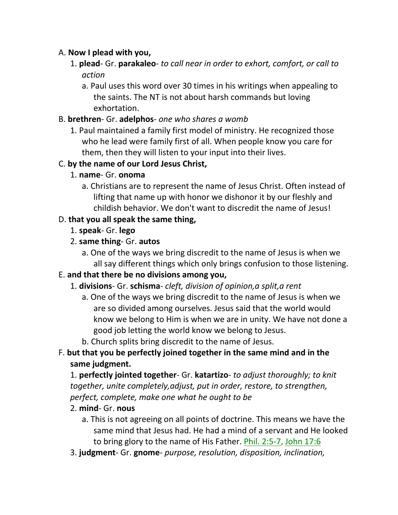## A. **Now I plead with you,**

- 1. **plead** Gr. **parakaleo** *to call near in order to exhort, comfort, or call to action*
	- a. Paul uses this word over 30 times in his writings when appealing to the saints. The NT is not about harsh commands but loving exhortation.

## B. **brethren**- Gr. **adelphos**- *one who shares a womb*

1. Paul maintained a family first model of ministry. He recognized those who he lead were family first of all. When people know you care for them, then they will listen to your input into their lives.

## C. **by the name of our Lord Jesus Christ,**

- 1. **name** Gr. **onoma**
	- a. Christians are to represent the name of Jesus Christ. Often instead of lifting that name up with honor we dishonor it by our fleshly and childish behavior. We don't want to discredit the name of Jesus!

# D. **that you all speak the same thing,**

- 1. **speak** Gr. **lego**
- 2. **same thing** Gr. **autos**
	- a. One of the ways we bring discredit to the name of Jesus is when we all say different things which only brings confusion to those listening.

# E. **and that there be no divisions among you,**

- 1. **divisions** Gr. **schisma** *cleft, division of opinion,a split,a rent*
	- a. One of the ways we bring discredit to the name of Jesus is when we are so divided among ourselves. Jesus said that the world would know we belong to Him is when we are in unity. We have not done a good job letting the world know we belong to Jesus.
	- b. Church splits bring discredit to the name of Jesus.

# F. **but that you be perfectly joined together in the same mind and in the same judgment.**

1. **perfectly jointed together**- Gr. **katartizo**- *to adjust thoroughly; to knit together, unite completely,adjust, put in order, restore, to strengthen, perfect, complete, make one what he ought to be*

# 2. **mind**- Gr. **nous**

- a. This is not agreeing on all points of doctrine. This means we have the same mind that Jesus had. He had a mind of a servant and He looked to bring glory to the name of His Father. Phil. 2:5-7, John 17:6
- 3. **judgment** Gr. **gnome** *purpose, resolution, disposition, inclination,*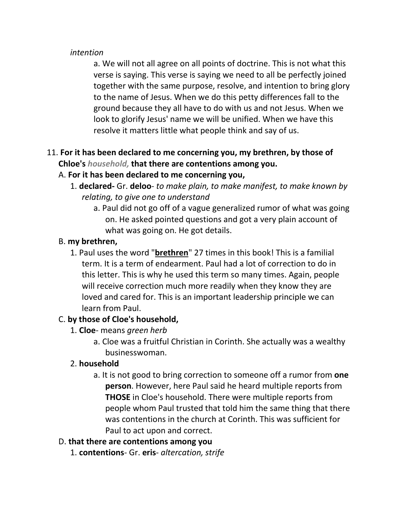### *intention*

a. We will not all agree on all points of doctrine. This is not what this verse is saying. This verse is saying we need to all be perfectly joined together with the same purpose, resolve, and intention to bring glory to the name of Jesus. When we do this petty differences fall to the ground because they all have to do with us and not Jesus. When we look to glorify Jesus' name we will be unified. When we have this resolve it matters little what people think and say of us.

# 11. **For it has been declared to me concerning you, my brethren, by those of Chloe's** *household,* **that there are contentions among you.**

## A. **For it has been declared to me concerning you,**

- 1. **declared-** Gr. **deloo** *to make plain, to make manifest, to make known by relating, to give one to understand*
	- a. Paul did not go off of a vague generalized rumor of what was going on. He asked pointed questions and got a very plain account of what was going on. He got details.

### B. **my brethren,**

1. Paul uses the word "**brethren**" 27 times in this book! This is a familial term. It is a term of endearment. Paul had a lot of correction to do in this letter. This is why he used this term so many times. Again, people will receive correction much more readily when they know they are loved and cared for. This is an important leadership principle we can learn from Paul.

## C. **by those of Cloe's household,**

- 1. **Cloe** means *green herb*
	- a. Cloe was a fruitful Christian in Corinth. She actually was a wealthy businesswoman.

## 2. **household**

a. It is not good to bring correction to someone off a rumor from **one person**. However, here Paul said he heard multiple reports from **THOSE** in Cloe's household. There were multiple reports from people whom Paul trusted that told him the same thing that there was contentions in the church at Corinth. This was sufficient for Paul to act upon and correct.

## D. **that there are contentions among you**

1. **contentions**- Gr. **eris**- *altercation, strife*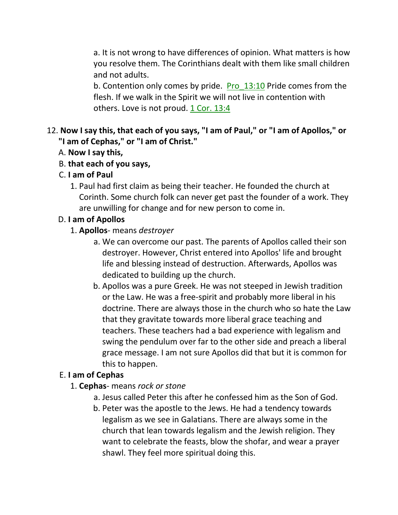a. It is not wrong to have differences of opinion. What matters is how you resolve them. The Corinthians dealt with them like small children and not adults.

b. Contention only comes by pride. Pro\_13:10 Pride comes from the flesh. If we walk in the Spirit we will not live in contention with others. Love is not proud. 1 Cor. 13:4

## 12. **Now I say this, that each of you says, "I am of Paul," or "I am of Apollos," or "I am of Cephas," or "I am of Christ."**

- A. **Now I say this,**
- B. **that each of you says,**
- C. **I am of Paul**
	- 1. Paul had first claim as being their teacher. He founded the church at Corinth. Some church folk can never get past the founder of a work. They are unwilling for change and for new person to come in.

# D. **I am of Apollos**

- 1. **Apollos** means *destroyer*
	- a. We can overcome our past. The parents of Apollos called their son destroyer. However, Christ entered into Apollos' life and brought life and blessing instead of destruction. Afterwards, Apollos was dedicated to building up the church.
	- b. Apollos was a pure Greek. He was not steeped in Jewish tradition or the Law. He was a free-spirit and probably more liberal in his doctrine. There are always those in the church who so hate the Law that they gravitate towards more liberal grace teaching and teachers. These teachers had a bad experience with legalism and swing the pendulum over far to the other side and preach a liberal grace message. I am not sure Apollos did that but it is common for this to happen.

# E. **I am of Cephas**

- 1. **Cephas** means *rock or stone*
	- a. Jesus called Peter this after he confessed him as the Son of God.
	- b. Peter was the apostle to the Jews. He had a tendency towards legalism as we see in Galatians. There are always some in the church that lean towards legalism and the Jewish religion. They want to celebrate the feasts, blow the shofar, and wear a prayer shawl. They feel more spiritual doing this.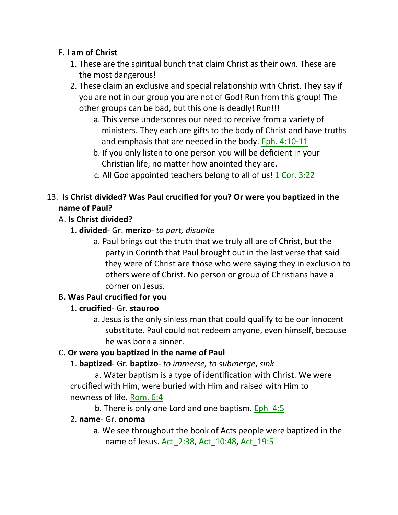## F. **I am of Christ**

- 1. These are the spiritual bunch that claim Christ as their own. These are the most dangerous!
- 2. These claim an exclusive and special relationship with Christ. They say if you are not in our group you are not of God! Run from this group! The other groups can be bad, but this one is deadly! Run!!!
	- a. This verse underscores our need to receive from a variety of ministers. They each are gifts to the body of Christ and have truths and emphasis that are needed in the body. Eph. 4:10-11
	- b. If you only listen to one person you will be deficient in your Christian life, no matter how anointed they are.
	- c. All God appointed teachers belong to all of us! 1 Cor. 3:22

# 13. **Is Christ divided? Was Paul crucified for you? Or were you baptized in the name of Paul?**

# A. **Is Christ divided?**

- 1. **divided** Gr. **merizo** *to part, disunite*
	- a. Paul brings out the truth that we truly all are of Christ, but the party in Corinth that Paul brought out in the last verse that said they were of Christ are those who were saying they in exclusion to others were of Christ. No person or group of Christians have a corner on Jesus.

## B**. Was Paul crucified for you**

## 1. **crucified**- Gr. **stauroo**

a. Jesus is the only sinless man that could qualify to be our innocent substitute. Paul could not redeem anyone, even himself, because he was born a sinner.

## C**. Or were you baptized in the name of Paul**

## 1. **baptized**- Gr. **baptizo**- *to immerse, to submerge*, *sink*

a. Water baptism is a type of identification with Christ. We were crucified with Him, were buried with Him and raised with Him to newness of life. Rom. 6:4

b. There is only one Lord and one baptism. Eph 4:5

## 2. **name**- Gr. **onoma**

a. We see throughout the book of Acts people were baptized in the name of Jesus. Act 2:38, Act 10:48, Act 19:5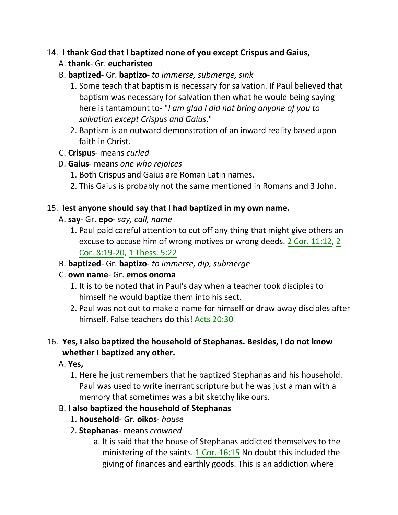### 14. **I thank God that I baptized none of you except Crispus and Gaius,**

- A. **thank** Gr. **eucharisteo**
- B. **baptized** Gr. **baptizo** *to immerse, submerge, sink*
	- 1. Some teach that baptism is necessary for salvation. If Paul believed that baptism was necessary for salvation then what he would being saying here is tantamount to- "*I am glad I did not bring anyone of you to salvation except Crispus and Gaius*."
	- 2. Baptism is an outward demonstration of an inward reality based upon faith in Christ.
- C. **Crispus** means *curled*
- D. **Gaius** means *one who rejoices*
	- 1. Both Crispus and Gaius are Roman Latin names.
	- 2. This Gaius is probably not the same mentioned in Romans and 3 John.

### 15. **lest anyone should say that I had baptized in my own name.**

- A. **say** Gr. **epo** *say, call, name*
	- 1. Paul paid careful attention to cut off any thing that might give others an excuse to accuse him of wrong motives or wrong deeds. 2 Cor. 11:12, 2 Cor. 8:19-20, 1 Thess. 5:22
- B. **baptized** Gr. **baptizo** *to immerse, dip, submerge*
- C. **own name** Gr. **emos onoma**
	- 1. It is to be noted that in Paul's day when a teacher took disciples to himself he would baptize them into his sect.
	- 2. Paul was not out to make a name for himself or draw away disciples after himself. False teachers do this! Acts 20:30

## 16. **Yes, I also baptized the household of Stephanas. Besides, I do not know whether I baptized any other.**

- A. **Yes,**
	- 1. Here he just remembers that he baptized Stephanas and his household. Paul was used to write inerrant scripture but he was just a man with a memory that sometimes was a bit sketchy like ours.

## B. **I also baptized the household of Stephanas**

- 1. **household** Gr. **oikos** *house*
- 2. **Stephanas** means *crowned*
	- a. It is said that the house of Stephanas addicted themselves to the ministering of the saints. 1 Cor. 16:15 No doubt this included the giving of finances and earthly goods. This is an addiction where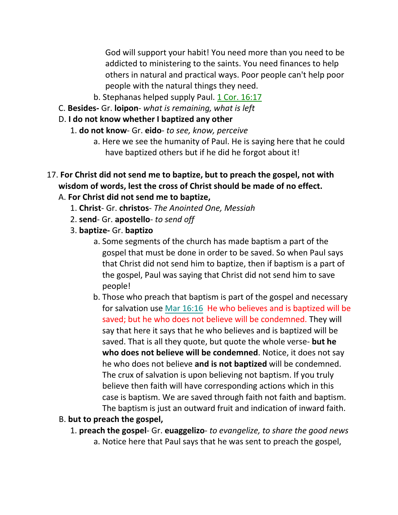God will support your habit! You need more than you need to be addicted to ministering to the saints. You need finances to help others in natural and practical ways. Poor people can't help poor people with the natural things they need.

- b. Stephanas helped supply Paul. 1 Cor. 16:17
- C. **Besides-** Gr. **loipon** *what is remaining, what is left*
- D. **I do not know whether I baptized any other**
	- 1. **do not know** Gr. **eido** *to see, know, perceive*
		- a. Here we see the humanity of Paul. He is saying here that he could have baptized others but if he did he forgot about it!
- 17. **For Christ did not send me to baptize, but to preach the gospel, not with wisdom of words, lest the cross of Christ should be made of no effect.**

## A. **For Christ did not send me to baptize,**

- 1. **Christ** Gr. **christos** *The Anointed One, Messiah*
- 2. **send** Gr. **apostello** *to send off*
- 3. **baptize-** Gr. **baptizo**
	- a. Some segments of the church has made baptism a part of the gospel that must be done in order to be saved. So when Paul says that Christ did not send him to baptize, then if baptism is a part of the gospel, Paul was saying that Christ did not send him to save people!
	- b. Those who preach that baptism is part of the gospel and necessary for salvation use Mar 16:16 He who believes and is baptized will be saved; but he who does not believe will be condemned. They will say that here it says that he who believes and is baptized will be saved. That is all they quote, but quote the whole verse- **but he who does not believe will be condemned**. Notice, it does not say he who does not believe **and is not baptized** will be condemned. The crux of salvation is upon believing not baptism. If you truly believe then faith will have corresponding actions which in this case is baptism. We are saved through faith not faith and baptism. The baptism is just an outward fruit and indication of inward faith.
- B. **but to preach the gospel,**
	- 1. **preach the gospel** Gr. **euaggelizo** *to evangelize, to share the good news* a. Notice here that Paul says that he was sent to preach the gospel,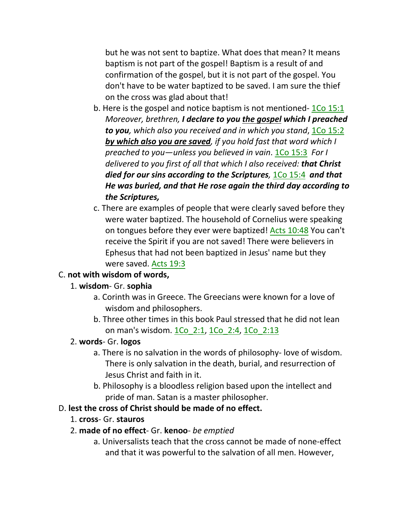but he was not sent to baptize. What does that mean? It means baptism is not part of the gospel! Baptism is a result of and confirmation of the gospel, but it is not part of the gospel. You don't have to be water baptized to be saved. I am sure the thief on the cross was glad about that!

- b. Here is the gospel and notice baptism is not mentioned- 1Co 15:1 *Moreover, brethren, I declare to you the gospel which I preached to you, which also you received and in which you stand*, 1Co 15:2 *by which also you are saved, if you hold fast that word which I preached to you—unless you believed in vain*. 1Co 15:3 *For I delivered to you first of all that which I also received: that Christ died for our sins according to the Scriptures,* 1Co 15:4 *and that He was buried, and that He rose again the third day according to the Scriptures,*
- c. There are examples of people that were clearly saved before they were water baptized. The household of Cornelius were speaking on tongues before they ever were baptized! Acts 10:48 You can't receive the Spirit if you are not saved! There were believers in Ephesus that had not been baptized in Jesus' name but they were saved. Acts 19:3

## C. **not with wisdom of words,**

### 1. **wisdom**- Gr. **sophia**

- a. Corinth was in Greece. The Greecians were known for a love of wisdom and philosophers.
- b. Three other times in this book Paul stressed that he did not lean on man's wisdom. 1Co 2:1, 1Co 2:4, 1Co 2:13

### 2. **words**- Gr. **logos**

- a. There is no salvation in the words of philosophy- love of wisdom. There is only salvation in the death, burial, and resurrection of Jesus Christ and faith in it.
- b. Philosophy is a bloodless religion based upon the intellect and pride of man. Satan is a master philosopher.

### D. **lest the cross of Christ should be made of no effect.**

- 1. **cross** Gr. **stauros**
- 2. **made of no effect** Gr. **kenoo** *be emptied*
	- a. Universalists teach that the cross cannot be made of none-effect and that it was powerful to the salvation of all men. However,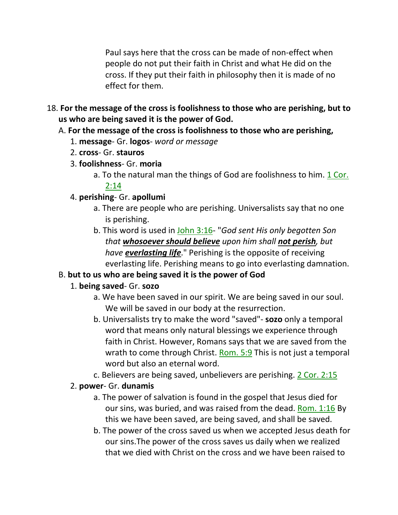Paul says here that the cross can be made of non-effect when people do not put their faith in Christ and what He did on the cross. If they put their faith in philosophy then it is made of no effect for them.

18. **For the message of the cross is foolishness to those who are perishing, but to us who are being saved it is the power of God.**

## A. **For the message of the cross is foolishness to those who are perishing,**

- 1. **message** Gr. **logos** *word or message*
- 2. **cross** Gr. **stauros**
- 3. **foolishness** Gr. **moria**
	- a. To the natural man the things of God are foolishness to him. 1 Cor. 2:14

4. **perishing**- Gr. **apollumi**

- a. There are people who are perishing. Universalists say that no one is perishing.
- b. This word is used in John 3:16- "*God sent His only begotten Son that whosoever should believe upon him shall not perish, but have everlasting life*." Perishing is the opposite of receiving everlasting life. Perishing means to go into everlasting damnation.

# B. **but to us who are being saved it is the power of God**

# 1. **being saved**- Gr. **sozo**

- a. We have been saved in our spirit. We are being saved in our soul. We will be saved in our body at the resurrection.
- b. Universalists try to make the word "saved"- **sozo** only a temporal word that means only natural blessings we experience through faith in Christ. However, Romans says that we are saved from the wrath to come through Christ. Rom. 5:9 This is not just a temporal word but also an eternal word.
- c. Believers are being saved, unbelievers are perishing. 2 Cor. 2:15

# 2. **power**- Gr. **dunamis**

- a. The power of salvation is found in the gospel that Jesus died for our sins, was buried, and was raised from the dead. Rom. 1:16 By this we have been saved, are being saved, and shall be saved.
- b. The power of the cross saved us when we accepted Jesus death for our sins.The power of the cross saves us daily when we realized that we died with Christ on the cross and we have been raised to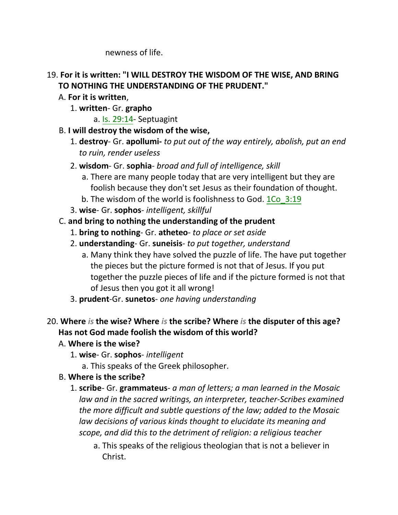newness of life.

## 19. **For it is written: "I WILL DESTROY THE WISDOM OF THE WISE, AND BRING TO NOTHING THE UNDERSTANDING OF THE PRUDENT."**

## A. **For it is written**,

- 1. **written** Gr. **grapho**
	- a. Is. 29:14- Septuagint

# B. **I will destroy the wisdom of the wise,**

- 1. **destroy** Gr. **apollumi-** *to put out of the way entirely, abolish, put an end to ruin, render useless*
- 2. **wisdom** Gr. **sophia** *broad and full of intelligence, skill*
	- a. There are many people today that are very intelligent but they are foolish because they don't set Jesus as their foundation of thought.
	- b. The wisdom of the world is foolishness to God. 1Co 3:19
- 3. **wise** Gr. **sophos** *intelligent, skillful*

# C. **and bring to nothing the understanding of the prudent**

- 1. **bring to nothing** Gr. **atheteo** *to place or set aside*
- 2. **understanding** Gr. **suneisis** *to put together, understand*
	- a. Many think they have solved the puzzle of life. The have put together the pieces but the picture formed is not that of Jesus. If you put together the puzzle pieces of life and if the picture formed is not that of Jesus then you got it all wrong!
- 3. **prudent**-Gr. **sunetos** *one having understanding*

# 20. **Where** *is* **the wise? Where** *is* **the scribe? Where** *is* **the disputer of this age? Has not God made foolish the wisdom of this world?**

# A. **Where is the wise?**

- 1. **wise** Gr. **sophos** *intelligent*
	- a. This speaks of the Greek philosopher.

# B. **Where is the scribe?**

- 1. **scribe** Gr. **grammateus** *a man of letters; a man learned in the Mosaic law and in the sacred writings, an interpreter, teacher-Scribes examined the more difficult and subtle questions of the law; added to the Mosaic law decisions of various kinds thought to elucidate its meaning and scope, and did this to the detriment of religion: a religious teacher*
	- a. This speaks of the religious theologian that is not a believer in Christ.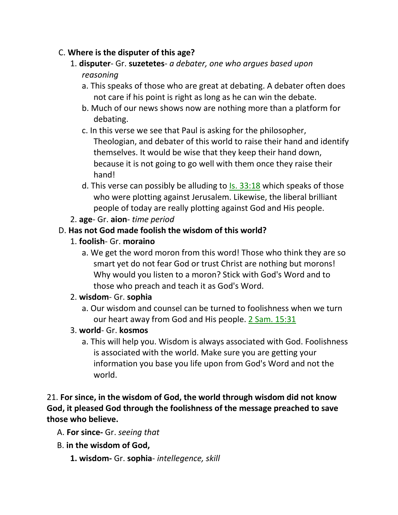## C. **Where is the disputer of this age?**

- 1. **disputer** Gr. **suzetetes** *a debater, one who argues based upon reasoning*
	- a. This speaks of those who are great at debating. A debater often does not care if his point is right as long as he can win the debate.
	- b. Much of our news shows now are nothing more than a platform for debating.
	- c. In this verse we see that Paul is asking for the philosopher, Theologian, and debater of this world to raise their hand and identify themselves. It would be wise that they keep their hand down, because it is not going to go well with them once they raise their hand!
	- d. This verse can possibly be alluding to  $Is. 33:18$  which speaks of those who were plotting against Jerusalem. Likewise, the liberal brilliant people of today are really plotting against God and His people.
- 2. **age** Gr. **aion** *time period*

# D. **Has not God made foolish the wisdom of this world?**

- 1. **foolish** Gr. **moraino**
	- a. We get the word moron from this word! Those who think they are so smart yet do not fear God or trust Christ are nothing but morons! Why would you listen to a moron? Stick with God's Word and to those who preach and teach it as God's Word.

## 2. **wisdom**- Gr. **sophia**

a. Our wisdom and counsel can be turned to foolishness when we turn our heart away from God and His people. 2 Sam. 15:31

# 3. **world**- Gr. **kosmos**

a. This will help you. Wisdom is always associated with God. Foolishness is associated with the world. Make sure you are getting your information you base you life upon from God's Word and not the world.

21. **For since, in the wisdom of God, the world through wisdom did not know God, it pleased God through the foolishness of the message preached to save those who believe.**

- A. **For since-** Gr. *seeing that*
- B. **in the wisdom of God,**
	- **1. wisdom-** Gr. **sophia** *intellegence, skill*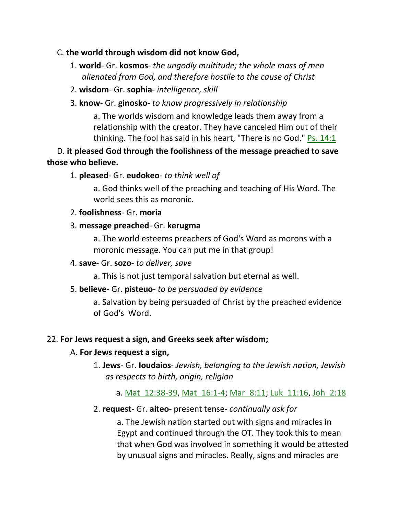### C. **the world through wisdom did not know God,**

- 1. **world** Gr. **kosmos** *the ungodly multitude; the whole mass of men alienated from God, and therefore hostile to the cause of Christ*
- 2. **wisdom** Gr. **sophia** *intelligence, skill*
- 3. **know** Gr. **ginosko** *to know progressively in relationship*

a. The worlds wisdom and knowledge leads them away from a relationship with the creator. They have canceled Him out of their thinking. The fool has said in his heart, "There is no God." Ps. 14:1

## D. **it pleased God through the foolishness of the message preached to save those who believe.**

1. **pleased**- Gr. **eudokeo**- *to think well of*

a. God thinks well of the preaching and teaching of His Word. The world sees this as moronic.

- 2. **foolishness** Gr. **moria**
- 3. **message preached** Gr. **kerugma**

a. The world esteems preachers of God's Word as morons with a moronic message. You can put me in that group!

4. **save**- Gr. **sozo**- *to deliver, save*

a. This is not just temporal salvation but eternal as well.

5. **believe**- Gr. **pisteuo**- *to be persuaded by evidence*

a. Salvation by being persuaded of Christ by the preached evidence of God's Word.

### 22. **For Jews request a sign, and Greeks seek after wisdom;**

### A. **For Jews request a sign,**

- 1. **Jews** Gr. **Ioudaios** *Jewish, belonging to the Jewish nation, Jewish as respects to birth, origin, religion*
	- a. Mat\_12:38-39, Mat\_16:1-4; Mar\_8:11; Luk\_11:16, Joh\_2:18

### 2. **request**- Gr. **aiteo**- present tense- *continually ask for*

a. The Jewish nation started out with signs and miracles in Egypt and continued through the OT. They took this to mean that when God was involved in something it would be attested by unusual signs and miracles. Really, signs and miracles are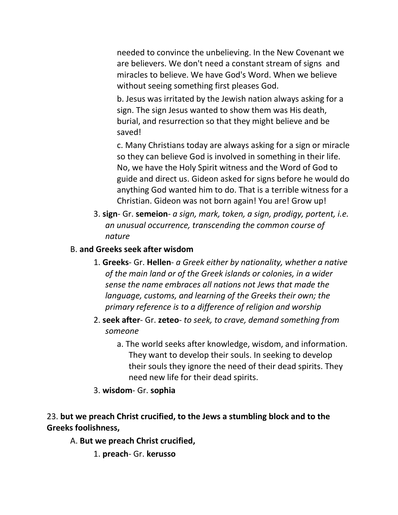needed to convince the unbelieving. In the New Covenant we are believers. We don't need a constant stream of signs and miracles to believe. We have God's Word. When we believe without seeing something first pleases God.

b. Jesus was irritated by the Jewish nation always asking for a sign. The sign Jesus wanted to show them was His death, burial, and resurrection so that they might believe and be saved!

c. Many Christians today are always asking for a sign or miracle so they can believe God is involved in something in their life. No, we have the Holy Spirit witness and the Word of God to guide and direct us. Gideon asked for signs before he would do anything God wanted him to do. That is a terrible witness for a Christian. Gideon was not born again! You are! Grow up!

3. **sign**- Gr. **semeion**- *a sign, mark, token, a sign, prodigy, portent, i.e. an unusual occurrence, transcending the common course of nature*

#### B. **and Greeks seek after wisdom**

- 1. **Greeks** Gr. **Hellen** *a Greek either by nationality, whether a native of the main land or of the Greek islands or colonies, in a wider sense the name embraces all nations not Jews that made the language, customs, and learning of the Greeks their own; the primary reference is to a difference of religion and worship*
- 2. **seek after** Gr. **zeteo** *to seek, to crave, demand something from someone*
	- a. The world seeks after knowledge, wisdom, and information. They want to develop their souls. In seeking to develop their souls they ignore the need of their dead spirits. They need new life for their dead spirits.
- 3. **wisdom** Gr. **sophia**

## 23. **but we preach Christ crucified, to the Jews a stumbling block and to the Greeks foolishness,**

- A. **But we preach Christ crucified,**
	- 1. **preach** Gr. **kerusso**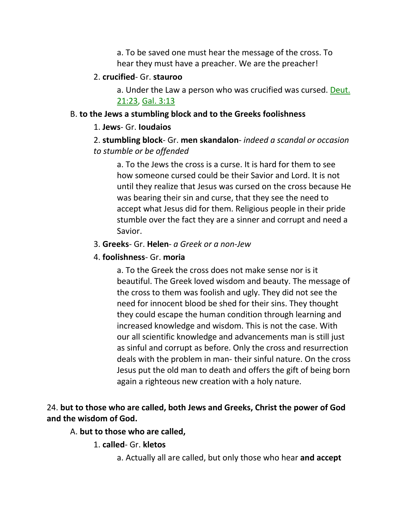a. To be saved one must hear the message of the cross. To hear they must have a preacher. We are the preacher!

#### 2. **crucified**- Gr. **stauroo**

a. Under the Law a person who was crucified was cursed. Deut. 21:23, Gal. 3:13

### B. **to the Jews a stumbling block and to the Greeks foolishness**

#### 1. **Jews**- Gr. **Ioudaios**

## 2. **stumbling block**- Gr. **men skandalon**- *indeed a scandal or occasion to stumble or be offended*

a. To the Jews the cross is a curse. It is hard for them to see how someone cursed could be their Savior and Lord. It is not until they realize that Jesus was cursed on the cross because He was bearing their sin and curse, that they see the need to accept what Jesus did for them. Religious people in their pride stumble over the fact they are a sinner and corrupt and need a Savior.

#### 3. **Greeks**- Gr. **Helen**- *a Greek or a non-Jew*

### 4. **foolishness**- Gr. **moria**

a. To the Greek the cross does not make sense nor is it beautiful. The Greek loved wisdom and beauty. The message of the cross to them was foolish and ugly. They did not see the need for innocent blood be shed for their sins. They thought they could escape the human condition through learning and increased knowledge and wisdom. This is not the case. With our all scientific knowledge and advancements man is still just as sinful and corrupt as before. Only the cross and resurrection deals with the problem in man- their sinful nature. On the cross Jesus put the old man to death and offers the gift of being born again a righteous new creation with a holy nature.

## 24. **but to those who are called, both Jews and Greeks, Christ the power of God and the wisdom of God.**

### A. **but to those who are called,**

### 1. **called**- Gr. **kletos**

a. Actually all are called, but only those who hear **and accept**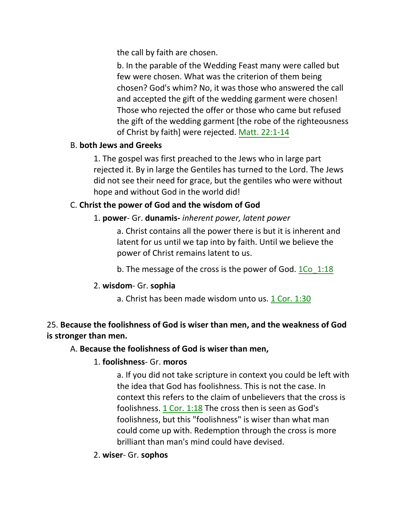the call by faith are chosen.

b. In the parable of the Wedding Feast many were called but few were chosen. What was the criterion of them being chosen? God's whim? No, it was those who answered the call and accepted the gift of the wedding garment were chosen! Those who rejected the offer or those who came but refused the gift of the wedding garment [the robe of the righteousness of Christ by faith] were rejected. Matt. 22:1-14

## B. **both Jews and Greeks**

1. The gospel was first preached to the Jews who in large part rejected it. By in large the Gentiles has turned to the Lord. The Jews did not see their need for grace, but the gentiles who were without hope and without God in the world did!

# C. **Christ the power of God and the wisdom of God**

## 1. **power**- Gr. **dunamis-** *inherent power, latent power*

a. Christ contains all the power there is but it is inherent and latent for us until we tap into by faith. Until we believe the power of Christ remains latent to us.

b. The message of the cross is the power of God. 1Co 1:18

# 2. **wisdom**- Gr. **sophia**

a. Christ has been made wisdom unto us. 1 Cor. 1:30

# 25. **Because the foolishness of God is wiser than men, and the weakness of God is stronger than men.**

# A. **Because the foolishness of God is wiser than men,**

# 1. **foolishness**- Gr. **moros**

a. If you did not take scripture in context you could be left with the idea that God has foolishness. This is not the case. In context this refers to the claim of unbelievers that the cross is foolishness. 1 Cor. 1:18 The cross then is seen as God's foolishness, but this "foolishness" is wiser than what man could come up with. Redemption through the cross is more brilliant than man's mind could have devised.

# 2. **wiser**- Gr. **sophos**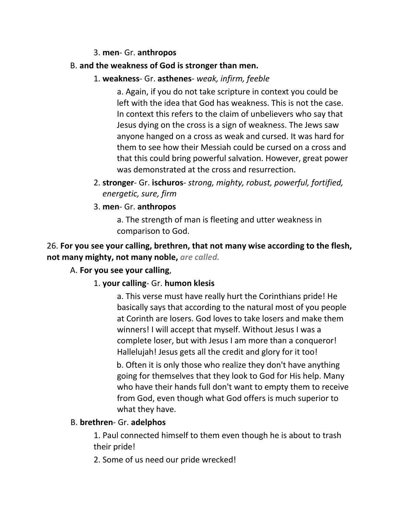### 3. **men**- Gr. **anthropos**

### B. **and the weakness of God is stronger than men.**

## 1. **weakness**- Gr. **asthenes**- *weak, infirm, feeble*

a. Again, if you do not take scripture in context you could be left with the idea that God has weakness. This is not the case. In context this refers to the claim of unbelievers who say that Jesus dying on the cross is a sign of weakness. The Jews saw anyone hanged on a cross as weak and cursed. It was hard for them to see how their Messiah could be cursed on a cross and that this could bring powerful salvation. However, great power was demonstrated at the cross and resurrection.

2. **stronger**- Gr. **ischuros**- *strong, mighty, robust, powerful, fortified, energetic, sure, firm*

## 3. **men**- Gr. **anthropos**

a. The strength of man is fleeting and utter weakness in comparison to God.

## 26. **For you see your calling, brethren, that not many wise according to the flesh, not many mighty, not many noble,** *are called.*

## A. **For you see your calling**,

## 1. **your calling**- Gr. **humon klesis**

a. This verse must have really hurt the Corinthians pride! He basically says that according to the natural most of you people at Corinth are losers. God loves to take losers and make them winners! I will accept that myself. Without Jesus I was a complete loser, but with Jesus I am more than a conqueror! Hallelujah! Jesus gets all the credit and glory for it too!

b. Often it is only those who realize they don't have anything going for themselves that they look to God for His help. Many who have their hands full don't want to empty them to receive from God, even though what God offers is much superior to what they have.

## B. **brethren**- Gr. **adelphos**

1. Paul connected himself to them even though he is about to trash their pride!

2. Some of us need our pride wrecked!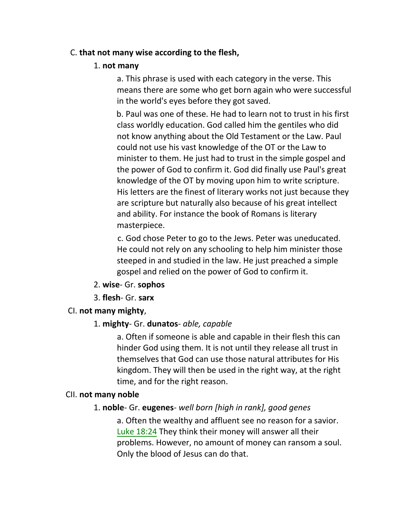### C. **that not many wise according to the flesh,**

### 1. **not many**

a. This phrase is used with each category in the verse. This means there are some who get born again who were successful in the world's eyes before they got saved.

b. Paul was one of these. He had to learn not to trust in his first class worldly education. God called him the gentiles who did not know anything about the Old Testament or the Law. Paul could not use his vast knowledge of the OT or the Law to minister to them. He just had to trust in the simple gospel and the power of God to confirm it. God did finally use Paul's great knowledge of the OT by moving upon him to write scripture. His letters are the finest of literary works not just because they are scripture but naturally also because of his great intellect and ability. For instance the book of Romans is literary masterpiece.

c. God chose Peter to go to the Jews. Peter was uneducated. He could not rely on any schooling to help him minister those steeped in and studied in the law. He just preached a simple gospel and relied on the power of God to confirm it.

- 2. **wise** Gr. **sophos**
- 3. **flesh** Gr. **sarx**

## CI. **not many mighty**,

### 1. **mighty**- Gr. **dunatos**- *able, capable*

a. Often if someone is able and capable in their flesh this can hinder God using them. It is not until they release all trust in themselves that God can use those natural attributes for His kingdom. They will then be used in the right way, at the right time, and for the right reason.

### CII. **not many noble**

## 1. **noble**- Gr. **eugenes**- *well born [high in rank], good genes*

a. Often the wealthy and affluent see no reason for a savior. Luke 18:24 They think their money will answer all their problems. However, no amount of money can ransom a soul. Only the blood of Jesus can do that.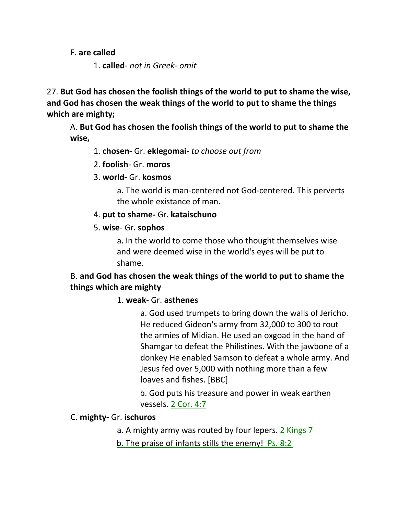F. **are called**

1. **called**- *not in Greek- omit*

27. **But God has chosen the foolish things of the world to put to shame the wise, and God has chosen the weak things of the world to put to shame the things which are mighty;**

A. **But God has chosen the foolish things of the world to put to shame the wise,**

- 1. **chosen** Gr. **eklegomai** *to choose out from*
- 2. **foolish** Gr. **moros**
- 3. **world-** Gr. **kosmos**

a. The world is man-centered not God-centered. This perverts the whole existance of man.

- 4. **put to shame-** Gr. **kataischuno**
- 5. **wise** Gr. **sophos**

a. In the world to come those who thought themselves wise and were deemed wise in the world's eyes will be put to shame.

# B. **and God has chosen the weak things of the world to put to shame the things which are mighty**

## 1. **weak**- Gr. **asthenes**

a. God used trumpets to bring down the walls of Jericho. He reduced Gideon's army from 32,000 to 300 to rout the armies of Midian. He used an oxgoad in the hand of Shamgar to defeat the Philistines. With the jawbone of a donkey He enabled Samson to defeat a whole army. And Jesus fed over 5,000 with nothing more than a few loaves and fishes. [BBC]

b. God puts his treasure and power in weak earthen vessels. 2 Cor. 4:7

# C. **mighty-** Gr. **ischuros**

a. A mighty army was routed by four lepers. 2 Kings 7

b. The praise of infants stills the enemy! Ps. 8:2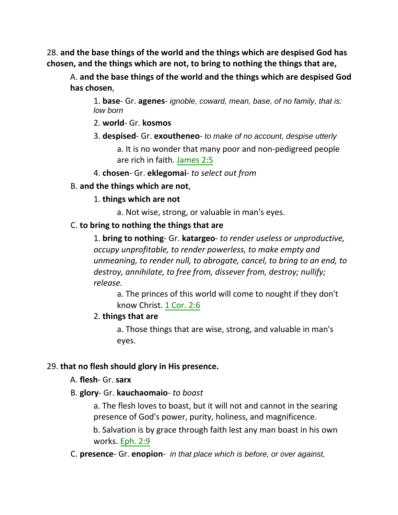28. **and the base things of the world and the things which are despised God has chosen, and the things which are not, to bring to nothing the things that are,**

A. **and the base things of the world and the things which are despised God has chosen**,

1. **base**- Gr. **agenes**- *ignoble, coward, mean, base, of no family, that is: low born*

2. **world**- Gr. **kosmos**

- 3. **despised** Gr. **exoutheneo** *to make of no account, despise utterly* a. It is no wonder that many poor and non-pedigreed people are rich in faith. James 2:5
- 4. **chosen** Gr. **eklegomai** *to select out from*
- B. **and the things which are not**,
	- 1. **things which are not**
		- a. Not wise, strong, or valuable in man's eyes.

### C. **to bring to nothing the things that are**

1. **bring to nothing**- Gr. **katargeo**- *to render useless or unproductive, occupy unprofitable, to render powerless, to make empty and unmeaning, to render null, to abrogate, cancel, to bring to an end, to destroy, annihilate, to free from, dissever from, destroy; nullify; release.*

a. The princes of this world will come to nought if they don't know Christ. 1 Cor. 2:6

### 2. **things that are**

a. Those things that are wise, strong, and valuable in man's eyes.

### 29. **that no flesh should glory in His presence.**

### A. **flesh**- Gr. **sarx**

### B. **glory**- Gr. **kauchaomaio**- *to boast*

a. The flesh loves to boast, but it will not and cannot in the searing presence of God's power, purity, holiness, and magnificence.

b. Salvation is by grace through faith lest any man boast in his own works. Eph. 2:9

C. **presence**- Gr. **enopion**- *in that place which is before, or over against,*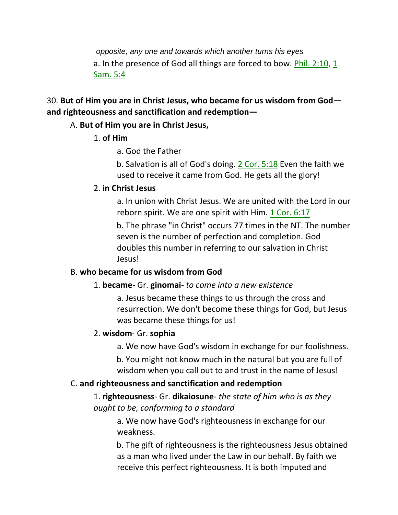*opposite, any one and towards which another turns his eyes* a. In the presence of God all things are forced to bow. Phil. 2:10, 1 Sam. 5:4

## 30. **But of Him you are in Christ Jesus, who became for us wisdom from God and righteousness and sanctification and redemption—**

## A. **But of Him you are in Christ Jesus,**

## 1. **of Him**

- a. God the Father
- b. Salvation is all of God's doing. 2 Cor. 5:18 Even the faith we used to receive it came from God. He gets all the glory!

# 2. **in Christ Jesus**

a. In union with Christ Jesus. We are united with the Lord in our reborn spirit. We are one spirit with Him. 1 Cor. 6:17

b. The phrase "in Christ" occurs 77 times in the NT. The number seven is the number of perfection and completion. God doubles this number in referring to our salvation in Christ Jesus!

# B. **who became for us wisdom from God**

# 1. **became**- Gr. **ginomai**- *to come into a new existence*

a. Jesus became these things to us through the cross and resurrection. We don't become these things for God, but Jesus was became these things for us!

# 2. **wisdom**- Gr. **sophia**

a. We now have God's wisdom in exchange for our foolishness.

b. You might not know much in the natural but you are full of wisdom when you call out to and trust in the name of Jesus!

# C. **and righteousness and sanctification and redemption**

1. **righteousness**- Gr. **dikaiosune**- *the state of him who is as they ought to be, conforming to a standard*

a. We now have God's righteousness in exchange for our weakness.

b. The gift of righteousness is the righteousness Jesus obtained as a man who lived under the Law in our behalf. By faith we receive this perfect righteousness. It is both imputed and